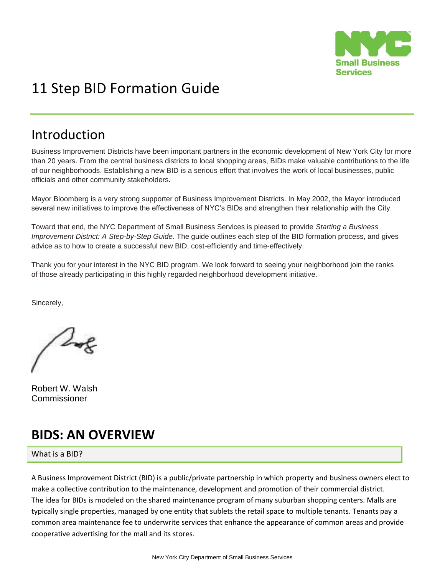

# 11 Step BID Formation Guide

## Introduction

Business Improvement Districts have been important partners in the economic development of New York City for more than 20 years. From the central business districts to local shopping areas, BIDs make valuable contributions to the life of our neighborhoods. Establishing a new BID is a serious effort that involves the work of local businesses, public officials and other community stakeholders.

Mayor Bloomberg is a very strong supporter of Business Improvement Districts. In May 2002, the Mayor introduced several new initiatives to improve the effectiveness of NYC's BIDs and strengthen their relationship with the City.

Toward that end, the NYC Department of Small Business Services is pleased to provide *Starting a Business Improvement District: A Step-by-Step Guide*. The guide outlines each step of the BID formation process, and gives advice as to how to create a successful new BID, cost-efficiently and time-effectively.

Thank you for your interest in the NYC BID program. We look forward to seeing your neighborhood join the ranks of those already participating in this highly regarded neighborhood development initiative.

Sincerely,

Robert W. Walsh Commissioner

# **BIDS: AN OVERVIEW**

What is a BID?

A Business Improvement District (BID) is a public/private partnership in which property and business owners elect to make a collective contribution to the maintenance, development and promotion of their commercial district. The idea for BIDs is modeled on the shared maintenance program of many suburban shopping centers. Malls are typically single properties, managed by one entity that sublets the retail space to multiple tenants. Tenants pay a common area maintenance fee to underwrite services that enhance the appearance of common areas and provide cooperative advertising for the mall and its stores.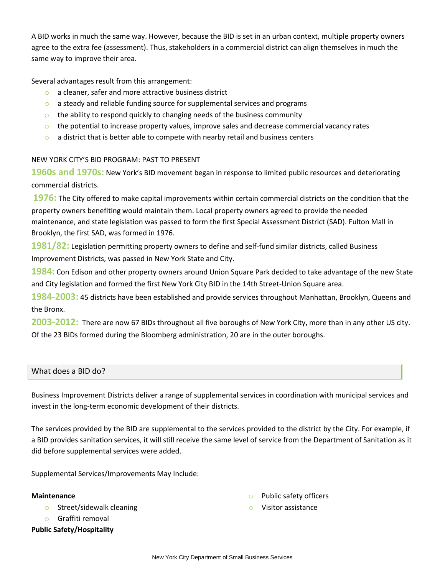A BID works in much the same way. However, because the BID is set in an urban context, multiple property owners agree to the extra fee (assessment). Thus, stakeholders in a commercial district can align themselves in much the same way to improve their area.

Several advantages result from this arrangement:

- o a cleaner, safer and more attractive business district
- o a steady and reliable funding source for supplemental services and programs
- $\circ$  the ability to respond quickly to changing needs of the business community
- $\circ$  the potential to increase property values, improve sales and decrease commercial vacancy rates
- $\circ$  a district that is better able to compete with nearby retail and business centers

#### NEW YORK CITY'S BID PROGRAM: PAST TO PRESENT

**1960s and 1970s:** New York's BID movement began in response to limited public resources and deteriorating commercial districts.

**1976:** The City offered to make capital improvements within certain commercial districts on the condition that the property owners benefiting would maintain them. Local property owners agreed to provide the needed maintenance, and state legislation was passed to form the first Special Assessment District (SAD). Fulton Mall in Brooklyn, the first SAD, was formed in 1976.

**1981/82:** Legislation permitting property owners to define and self-fund similar districts, called Business Improvement Districts, was passed in New York State and City.

**1984:** Con Edison and other property owners around Union Square Park decided to take advantage of the new State and City legislation and formed the first New York City BID in the 14th Street-Union Square area.

**1984-2003:** 45 districts have been established and provide services throughout Manhattan, Brooklyn, Queens and the Bronx.

**2003-2012:** There are now 67 BIDs throughout all five boroughs of New York City, more than in any other US city. Of the 23 BIDs formed during the Bloomberg administration, 20 are in the outer boroughs.

#### What does a BID do?

Business Improvement Districts deliver a range of supplemental services in coordination with municipal services and invest in the long-term economic development of their districts.

The services provided by the BID are supplemental to the services provided to the district by the City. For example, if a BID provides sanitation services, it will still receive the same level of service from the Department of Sanitation as it did before supplemental services were added.

Supplemental Services/Improvements May Include:

#### **Maintenance**

- o Street/sidewalk cleaning
- o Graffiti removal

#### **Public Safety/Hospitality**

- o Public safety officers
- o Visitor assistance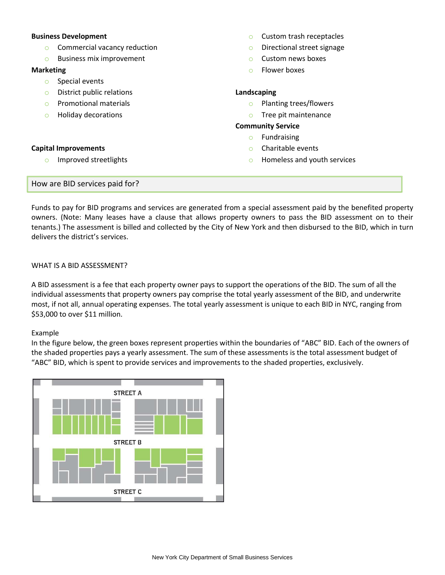#### **Business Development**

- o Commercial vacancy reduction
- o Business mix improvement

#### **Marketing**

- o Special events
- o District public relations
- o Promotional materials
- o Holiday decorations

#### **Capital Improvements**

o Improved streetlights

#### o Custom trash receptacles

- o Directional street signage
- o Custom news boxes
- o Flower boxes

#### **Landscaping**

- o Planting trees/flowers
- o Tree pit maintenance

#### **Community Service**

- o Fundraising
- o Charitable events
- o Homeless and youth services

#### How are BID services paid for?

Funds to pay for BID programs and services are generated from a special assessment paid by the benefited property owners. (Note: Many leases have a clause that allows property owners to pass the BID assessment on to their tenants.) The assessment is billed and collected by the City of New York and then disbursed to the BID, which in turn delivers the district's services.

#### WHAT IS A BID ASSESSMENT?

A BID assessment is a fee that each property owner pays to support the operations of the BID. The sum of all the individual assessments that property owners pay comprise the total yearly assessment of the BID, and underwrite most, if not all, annual operating expenses. The total yearly assessment is unique to each BID in NYC, ranging from \$53,000 to over \$11 million.

#### Example

In the figure below, the green boxes represent properties within the boundaries of "ABC" BID. Each of the owners of the shaded properties pays a yearly assessment. The sum of these assessments is the total assessment budget of "ABC" BID, which is spent to provide services and improvements to the shaded properties, exclusively.

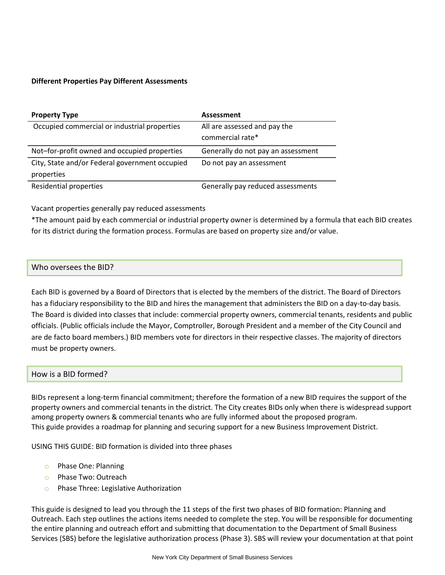#### **Different Properties Pay Different Assessments**

| <b>Property Type</b>                           | Assessment                         |
|------------------------------------------------|------------------------------------|
| Occupied commercial or industrial properties   | All are assessed and pay the       |
|                                                | commercial rate*                   |
| Not-for-profit owned and occupied properties   | Generally do not pay an assessment |
| City, State and/or Federal government occupied | Do not pay an assessment           |
| properties                                     |                                    |
| Residential properties                         | Generally pay reduced assessments  |

Vacant properties generally pay reduced assessments

\*The amount paid by each commercial or industrial property owner is determined by a formula that each BID creates for its district during the formation process. Formulas are based on property size and/or value.

#### Who oversees the BID?

Each BID is governed by a Board of Directors that is elected by the members of the district. The Board of Directors has a fiduciary responsibility to the BID and hires the management that administers the BID on a day-to-day basis. The Board is divided into classes that include: commercial property owners, commercial tenants, residents and public officials. (Public officials include the Mayor, Comptroller, Borough President and a member of the City Council and are de facto board members.) BID members vote for directors in their respective classes. The majority of directors must be property owners.

#### How is a BID formed?

BIDs represent a long-term financial commitment; therefore the formation of a new BID requires the support of the property owners and commercial tenants in the district. The City creates BIDs only when there is widespread support among property owners & commercial tenants who are fully informed about the proposed program. This guide provides a roadmap for planning and securing support for a new Business Improvement District.

USING THIS GUIDE: BID formation is divided into three phases

- o Phase One: Planning
- o Phase Two: Outreach
- o Phase Three: Legislative Authorization

This guide is designed to lead you through the 11 steps of the first two phases of BID formation: Planning and Outreach. Each step outlines the actions items needed to complete the step. You will be responsible for documenting the entire planning and outreach effort and submitting that documentation to the Department of Small Business Services (SBS) before the legislative authorization process (Phase 3). SBS will review your documentation at that point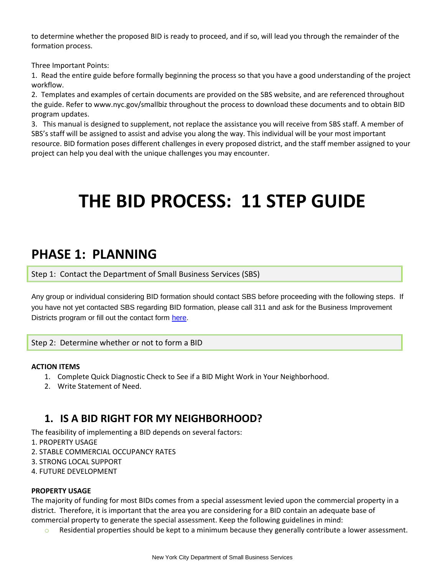to determine whether the proposed BID is ready to proceed, and if so, will lead you through the remainder of the formation process.

Three Important Points:

1. Read the entire guide before formally beginning the process so that you have a good understanding of the project workflow.

2. Templates and examples of certain documents are provided on the SBS website, and are referenced throughout the guide. Refer to www.nyc.gov/smallbiz throughout the process to download these documents and to obtain BID program updates.

3. This manual is designed to supplement, not replace the assistance you will receive from SBS staff. A member of SBS's staff will be assigned to assist and advise you along the way. This individual will be your most important resource. BID formation poses different challenges in every proposed district, and the staff member assigned to your project can help you deal with the unique challenges you may encounter.

# **THE BID PROCESS: 11 STEP GUIDE**

## **PHASE 1: PLANNING**

Step 1: Contact the Department of Small Business Services (SBS)

Any group or individual considering BID formation should contact SBS before proceeding with the following steps. If you have not yet contacted SBS regarding BID formation, please call 311 and ask for the Business Improvement Districts program or fill out the contact form [here.](http://www.nyc.gov/html/sbs/html/neighborhood_development/contact.shtml)

#### Step 2: Determine whether or not to form a BID

#### **ACTION ITEMS**

- 1. Complete Quick Diagnostic Check to See if a BID Might Work in Your Neighborhood.
- 2. Write Statement of Need.

## **1. IS A BID RIGHT FOR MY NEIGHBORHOOD?**

The feasibility of implementing a BID depends on several factors:

- 1. PROPERTY USAGE
- 2. STABLE COMMERCIAL OCCUPANCY RATES
- 3. STRONG LOCAL SUPPORT
- 4. FUTURE DEVELOPMENT

#### **PROPERTY USAGE**

The majority of funding for most BIDs comes from a special assessment levied upon the commercial property in a district. Therefore, it is important that the area you are considering for a BID contain an adequate base of commercial property to generate the special assessment. Keep the following guidelines in mind:

 $\circ$  Residential properties should be kept to a minimum because they generally contribute a lower assessment.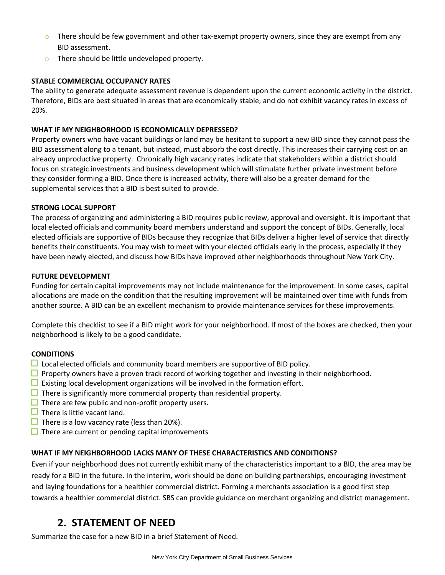- $\circ$  There should be few government and other tax-exempt property owners, since they are exempt from any BID assessment.
- o There should be little undeveloped property.

#### **STABLE COMMERCIAL OCCUPANCY RATES**

The ability to generate adequate assessment revenue is dependent upon the current economic activity in the district. Therefore, BIDs are best situated in areas that are economically stable, and do not exhibit vacancy rates in excess of 20%.

#### **WHAT IF MY NEIGHBORHOOD IS ECONOMICALLY DEPRESSED?**

Property owners who have vacant buildings or land may be hesitant to support a new BID since they cannot pass the BID assessment along to a tenant, but instead, must absorb the cost directly. This increases their carrying cost on an already unproductive property. Chronically high vacancy rates indicate that stakeholders within a district should focus on strategic investments and business development which will stimulate further private investment before they consider forming a BID. Once there is increased activity, there will also be a greater demand for the supplemental services that a BID is best suited to provide.

#### **STRONG LOCAL SUPPORT**

The process of organizing and administering a BID requires public review, approval and oversight. It is important that local elected officials and community board members understand and support the concept of BIDs. Generally, local elected officials are supportive of BIDs because they recognize that BIDs deliver a higher level of service that directly benefits their constituents. You may wish to meet with your elected officials early in the process, especially if they have been newly elected, and discuss how BIDs have improved other neighborhoods throughout New York City.

#### **FUTURE DEVELOPMENT**

Funding for certain capital improvements may not include maintenance for the improvement. In some cases, capital allocations are made on the condition that the resulting improvement will be maintained over time with funds from another source. A BID can be an excellent mechanism to provide maintenance services for these improvements.

Complete this checklist to see if a BID might work for your neighborhood. If most of the boxes are checked, then your neighborhood is likely to be a good candidate.

#### **CONDITIONS**

- $\Box$  Local elected officials and community board members are supportive of BID policy.
- $\Box$  Property owners have a proven track record of working together and investing in their neighborhood.
- $\Box$  Existing local development organizations will be involved in the formation effort.
- $\Box$  There is significantly more commercial property than residential property.
- $\Box$  There are few public and non-profit property users.
- $\Box$  There is little vacant land.
- $\Box$  There is a low vacancy rate (less than 20%).
- $\Box$  There are current or pending capital improvements

#### **WHAT IF MY NEIGHBORHOOD LACKS MANY OF THESE CHARACTERISTICS AND CONDITIONS?**

Even if your neighborhood does not currently exhibit many of the characteristics important to a BID, the area may be ready for a BID in the future. In the interim, work should be done on building partnerships, encouraging investment and laying foundations for a healthier commercial district. Forming a merchants association is a good first step towards a healthier commercial district. SBS can provide guidance on merchant organizing and district management.

## **2. STATEMENT OF NEED**

Summarize the case for a new BID in a brief Statement of Need.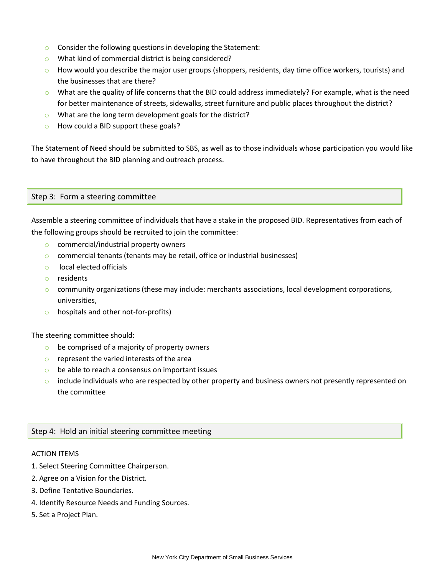- o Consider the following questions in developing the Statement:
- o What kind of commercial district is being considered?
- $\circ$  How would you describe the major user groups (shoppers, residents, day time office workers, tourists) and the businesses that are there?
- $\circ$  What are the quality of life concerns that the BID could address immediately? For example, what is the need for better maintenance of streets, sidewalks, street furniture and public places throughout the district?
- o What are the long term development goals for the district?
- o How could a BID support these goals?

The Statement of Need should be submitted to SBS, as well as to those individuals whose participation you would like to have throughout the BID planning and outreach process.

#### Step 3: Form a steering committee

Assemble a steering committee of individuals that have a stake in the proposed BID. Representatives from each of the following groups should be recruited to join the committee:

- o commercial/industrial property owners
- o commercial tenants (tenants may be retail, office or industrial businesses)
- o local elected officials
- o residents
- $\circ$  community organizations (these may include: merchants associations, local development corporations, universities,
- o hospitals and other not-for-profits)

The steering committee should:

- $\circ$  be comprised of a majority of property owners
- $\circ$  represent the varied interests of the area
- $\circ$  be able to reach a consensus on important issues
- $\circ$  include individuals who are respected by other property and business owners not presently represented on the committee

#### Step 4: Hold an initial steering committee meeting

#### ACTION ITEMS

- 1. Select Steering Committee Chairperson.
- 2. Agree on a Vision for the District.
- 3. Define Tentative Boundaries.
- 4. Identify Resource Needs and Funding Sources.
- 5. Set a Project Plan.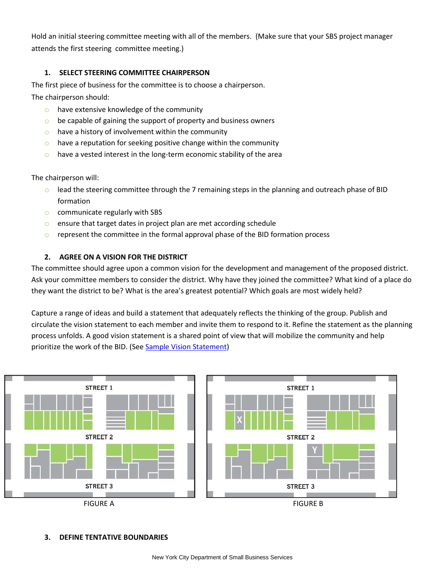Hold an initial steering committee meeting with all of the members. (Make sure that your SBS project manager attends the first steering committee meeting.)

#### **1. SELECT STEERING COMMITTEE CHAIRPERSON**

The first piece of business for the committee is to choose a chairperson.

The chairperson should:

- o have extensive knowledge of the community
- $\circ$  be capable of gaining the support of property and business owners
- $\circ$  have a history of involvement within the community
- $\circ$  have a reputation for seeking positive change within the community
- $\circ$  have a vested interest in the long-term economic stability of the area

The chairperson will:

- $\circ$  lead the steering committee through the 7 remaining steps in the planning and outreach phase of BID formation
- o communicate regularly with SBS
- o ensure that target dates in project plan are met according schedule
- $\circ$  represent the committee in the formal approval phase of the BID formation process

#### **2. AGREE ON A VISION FOR THE DISTRICT**

The committee should agree upon a common vision for the development and management of the proposed district. Ask your committee members to consider the district. Why have they joined the committee? What kind of a place do they want the district to be? What is the area's greatest potential? Which goals are most widely held?

Capture a range of ideas and build a statement that adequately reflects the thinking of the group. Publish and circulate the vision statement to each member and invite them to respond to it. Refine the statement as the planning process unfolds. A good vision statement is a shared point of view that will mobilize the community and help prioritize the work of the BID. (See [Sample Vision Statement\)](http://www.nyc.gov/html/sbs/downloads/pdf/neighborhood_development/business_improvement_districts/sample_vision_statement.pdf)



#### **3. DEFINE TENTATIVE BOUNDARIES**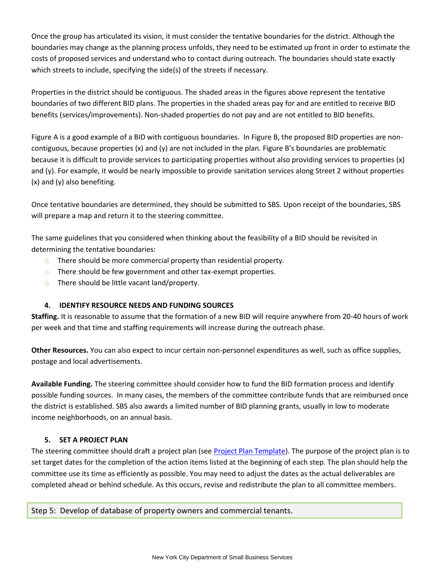Once the group has articulated its vision, it must consider the tentative boundaries for the district. Although the boundaries may change as the planning process unfolds, they need to be estimated up front in order to estimate the costs of proposed services and understand who to contact during outreach. The boundaries should state exactly which streets to include, specifying the side(s) of the streets if necessary.

Properties in the district should be contiguous. The shaded areas in the figures above represent the tentative boundaries of two different BID plans. The properties in the shaded areas pay for and are entitled to receive BID benefits (services/improvements). Non-shaded properties do not pay and are not entitled to BID benefits.

Figure A is a good example of a BID with contiguous boundaries. In Figure B, the proposed BID properties are noncontiguous, because properties (x) and (y) are not included in the plan. Figure B's boundaries are problematic because it is difficult to provide services to participating properties without also providing services to properties (x) and (y). For example, it would be nearly impossible to provide sanitation services along Street 2 without properties (x) and (y) also benefiting.

Once tentative boundaries are determined, they should be submitted to SBS. Upon receipt of the boundaries, SBS will prepare a map and return it to the steering committee.

The same guidelines that you considered when thinking about the feasibility of a BID should be revisited in determining the tentative boundaries:

- $\circ$  There should be more commercial property than residential property.
- $\circ$  There should be few government and other tax-exempt properties.
- o There should be little vacant land/property.

#### **4. IDENTIFY RESOURCE NEEDS AND FUNDING SOURCES**

**Staffing.** It is reasonable to assume that the formation of a new BID will require anywhere from 20-40 hours of work per week and that time and staffing requirements will increase during the outreach phase.

**Other Resources.** You can also expect to incur certain non-personnel expenditures as well, such as office supplies, postage and local advertisements.

**Available Funding.** The steering committee should consider how to fund the BID formation process and identify possible funding sources. In many cases, the members of the committee contribute funds that are reimbursed once the district is established. SBS also awards a limited number of BID planning grants, usually in low to moderate income neighborhoods, on an annual basis.

#### **5. SET A PROJECT PLAN**

The steering committee should draft a project plan (see [Project Plan Template\)](http://www.nyc.gov/html/sbs/downloads/pdf/neighborhood_development/business_improvement_districts/bid_project_plan_template.pdf). The purpose of the project plan is to set target dates for the completion of the action items listed at the beginning of each step. The plan should help the committee use its time as efficiently as possible. You may need to adjust the dates as the actual deliverables are completed ahead or behind schedule. As this occurs, revise and redistribute the plan to all committee members.

Step 5: Develop of database of property owners and commercial tenants.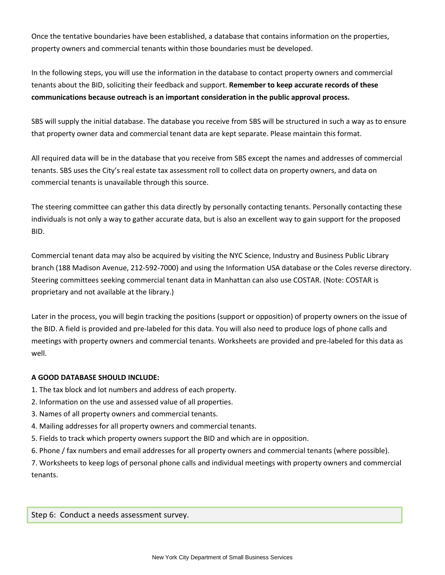Once the tentative boundaries have been established, a database that contains information on the properties, property owners and commercial tenants within those boundaries must be developed.

In the following steps, you will use the information in the database to contact property owners and commercial tenants about the BID, soliciting their feedback and support. **Remember to keep accurate records of these communications because outreach is an important consideration in the public approval process.**

SBS will supply the initial database. The database you receive from SBS will be structured in such a way as to ensure that property owner data and commercial tenant data are kept separate. Please maintain this format.

All required data will be in the database that you receive from SBS except the names and addresses of commercial tenants. SBS uses the City's real estate tax assessment roll to collect data on property owners, and data on commercial tenants is unavailable through this source.

The steering committee can gather this data directly by personally contacting tenants. Personally contacting these individuals is not only a way to gather accurate data, but is also an excellent way to gain support for the proposed BID.

Commercial tenant data may also be acquired by visiting the NYC Science, Industry and Business Public Library branch (188 Madison Avenue, 212-592-7000) and using the Information USA database or the Coles reverse directory. Steering committees seeking commercial tenant data in Manhattan can also use COSTAR. (Note: COSTAR is proprietary and not available at the library.)

Later in the process, you will begin tracking the positions (support or opposition) of property owners on the issue of the BID. A field is provided and pre-labeled for this data. You will also need to produce logs of phone calls and meetings with property owners and commercial tenants. Worksheets are provided and pre-labeled for this data as well.

#### **A GOOD DATABASE SHOULD INCLUDE:**

- 1. The tax block and lot numbers and address of each property.
- 2. Information on the use and assessed value of all properties.
- 3. Names of all property owners and commercial tenants.
- 4. Mailing addresses for all property owners and commercial tenants.
- 5. Fields to track which property owners support the BID and which are in opposition.
- 6. Phone / fax numbers and email addresses for all property owners and commercial tenants (where possible).

7. Worksheets to keep logs of personal phone calls and individual meetings with property owners and commercial tenants.

Step 6: Conduct a needs assessment survey.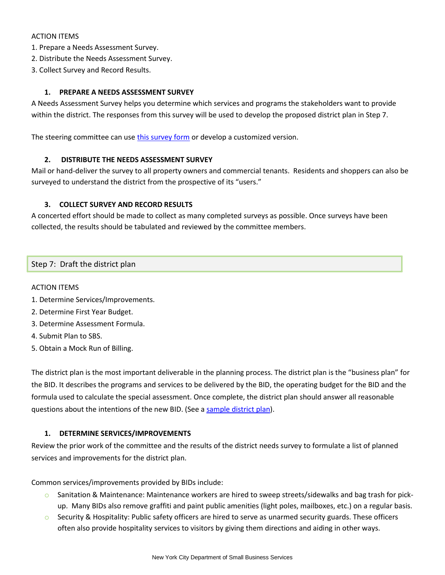#### ACTION ITEMS

- 1. Prepare a Needs Assessment Survey.
- 2. Distribute the Needs Assessment Survey.
- 3. Collect Survey and Record Results.

#### **1. PREPARE A NEEDS ASSESSMENT SURVEY**

A Needs Assessment Survey helps you determine which services and programs the stakeholders want to provide within the district. The responses from this survey will be used to develop the proposed district plan in Step 7.

The steering committee can us[e this survey form](http://www.nyc.gov/html/sbs/downloads/excel/neighborhood_development/business_improvement_districts/districtneedssurvey.xls) or develop a customized version.

#### **2. DISTRIBUTE THE NEEDS ASSESSMENT SURVEY**

Mail or hand-deliver the survey to all property owners and commercial tenants. Residents and shoppers can also be surveyed to understand the district from the prospective of its "users."

#### **3. COLLECT SURVEY AND RECORD RESULTS**

A concerted effort should be made to collect as many completed surveys as possible. Once surveys have been collected, the results should be tabulated and reviewed by the committee members.

#### Step 7: Draft the district plan

#### ACTION ITEMS

- 1. Determine Services/Improvements.
- 2. Determine First Year Budget.
- 3. Determine Assessment Formula.
- 4. Submit Plan to SBS.
- 5. Obtain a Mock Run of Billing.

The district plan is the most important deliverable in the planning process. The district plan is the "business plan" for the BID. It describes the programs and services to be delivered by the BID, the operating budget for the BID and the formula used to calculate the special assessment. Once complete, the district plan should answer all reasonable questions about the intentions of the new BID. (See a [sample district plan\)](http://www.nyc.gov/html/sbs/downloads/pdf/neighborhood_development/business_improvement_districts/sample_district_plan.pdf).

#### **1. DETERMINE SERVICES/IMPROVEMENTS**

Review the prior work of the committee and the results of the district needs survey to formulate a list of planned services and improvements for the district plan.

Common services/improvements provided by BIDs include:

- o Sanitation & Maintenance: Maintenance workers are hired to sweep streets/sidewalks and bag trash for pickup. Many BIDs also remove graffiti and paint public amenities (light poles, mailboxes, etc.) on a regular basis.
- $\circ$  Security & Hospitality: Public safety officers are hired to serve as unarmed security guards. These officers often also provide hospitality services to visitors by giving them directions and aiding in other ways.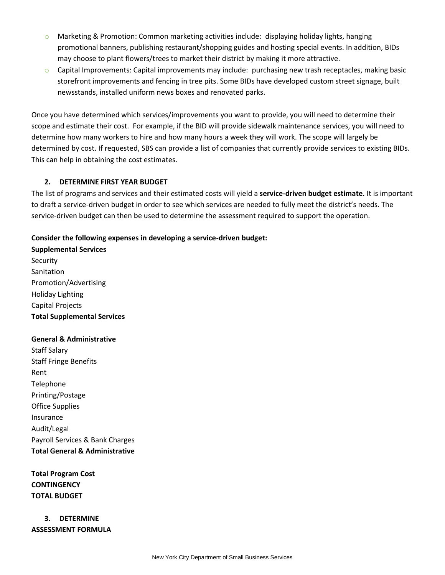- $\circ$  Marketing & Promotion: Common marketing activities include: displaying holiday lights, hanging promotional banners, publishing restaurant/shopping guides and hosting special events. In addition, BIDs may choose to plant flowers/trees to market their district by making it more attractive.
- $\circ$  Capital Improvements: Capital improvements may include: purchasing new trash receptacles, making basic storefront improvements and fencing in tree pits. Some BIDs have developed custom street signage, built newsstands, installed uniform news boxes and renovated parks.

Once you have determined which services/improvements you want to provide, you will need to determine their scope and estimate their cost. For example, if the BID will provide sidewalk maintenance services, you will need to determine how many workers to hire and how many hours a week they will work. The scope will largely be determined by cost. If requested, SBS can provide a list of companies that currently provide services to existing BIDs. This can help in obtaining the cost estimates.

#### **2. DETERMINE FIRST YEAR BUDGET**

The list of programs and services and their estimated costs will yield a **service-driven budget estimate.** It is important to draft a service-driven budget in order to see which services are needed to fully meet the district's needs. The service-driven budget can then be used to determine the assessment required to support the operation.

#### **Consider the following expenses in developing a service-driven budget:**

**Supplemental Services**  Security Sanitation Promotion/Advertising Holiday Lighting Capital Projects **Total Supplemental Services**

#### **General & Administrative**

Staff Salary Staff Fringe Benefits Rent Telephone Printing/Postage Office Supplies Insurance Audit/Legal Payroll Services & Bank Charges **Total General & Administrative**

**Total Program Cost CONTINGENCY TOTAL BUDGET**

**3. DETERMINE ASSESSMENT FORMULA**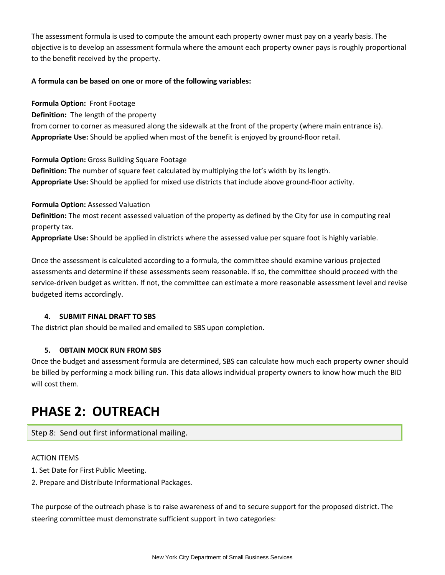The assessment formula is used to compute the amount each property owner must pay on a yearly basis. The objective is to develop an assessment formula where the amount each property owner pays is roughly proportional to the benefit received by the property.

#### **A formula can be based on one or more of the following variables:**

**Formula Option:** Front Footage

**Definition:** The length of the property

from corner to corner as measured along the sidewalk at the front of the property (where main entrance is). **Appropriate Use:** Should be applied when most of the benefit is enjoyed by ground-floor retail.

**Formula Option:** Gross Building Square Footage

**Definition:** The number of square feet calculated by multiplying the lot's width by its length. **Appropriate Use:** Should be applied for mixed use districts that include above ground-floor activity.

**Formula Option:** Assessed Valuation **Definition:** The most recent assessed valuation of the property as defined by the City for use in computing real property tax.

**Appropriate Use:** Should be applied in districts where the assessed value per square foot is highly variable.

Once the assessment is calculated according to a formula, the committee should examine various projected assessments and determine if these assessments seem reasonable. If so, the committee should proceed with the service-driven budget as written. If not, the committee can estimate a more reasonable assessment level and revise budgeted items accordingly.

#### **4. SUBMIT FINAL DRAFT TO SBS**

The district plan should be mailed and emailed to SBS upon completion.

#### **5. OBTAIN MOCK RUN FROM SBS**

Once the budget and assessment formula are determined, SBS can calculate how much each property owner should be billed by performing a mock billing run. This data allows individual property owners to know how much the BID will cost them.

## **PHASE 2: OUTREACH**

Step 8: Send out first informational mailing.

#### ACTION ITEMS

- 1. Set Date for First Public Meeting.
- 2. Prepare and Distribute Informational Packages.

The purpose of the outreach phase is to raise awareness of and to secure support for the proposed district. The steering committee must demonstrate sufficient support in two categories: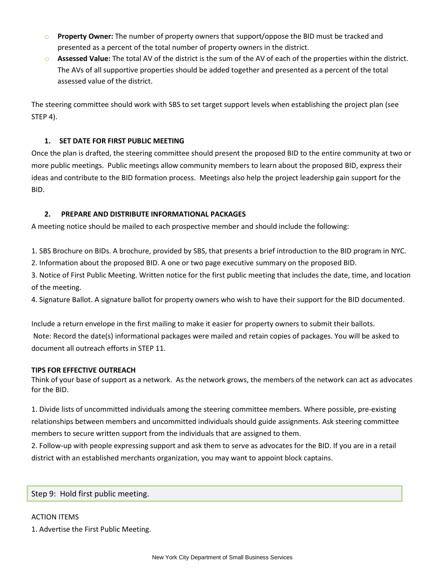- o **Property Owner:** The number of property owners that support/oppose the BID must be tracked and presented as a percent of the total number of property owners in the district.
- o **Assessed Value:** The total AV of the district is the sum of the AV of each of the properties within the district. The AVs of all supportive properties should be added together and presented as a percent of the total assessed value of the district.

The steering committee should work with SBS to set target support levels when establishing the project plan (see STEP 4).

#### **1. SET DATE FOR FIRST PUBLIC MEETING**

Once the plan is drafted, the steering committee should present the proposed BID to the entire community at two or more public meetings. Public meetings allow community members to learn about the proposed BID, express their ideas and contribute to the BID formation process. Meetings also help the project leadership gain support for the BID.

#### **2. PREPARE AND DISTRIBUTE INFORMATIONAL PACKAGES**

A meeting notice should be mailed to each prospective member and should include the following:

1. SBS Brochure on BIDs. A brochure, provided by SBS, that presents a brief introduction to the BID program in NYC.

2. Information about the proposed BID. A one or two page executive summary on the proposed BID.

3. Notice of First Public Meeting. Written notice for the first public meeting that includes the date, time, and location of the meeting.

4. Signature Ballot. A signature ballot for property owners who wish to have their support for the BID documented.

Include a return envelope in the first mailing to make it easier for property owners to submit their ballots. Note: Record the date(s) informational packages were mailed and retain copies of packages. You will be asked to document all outreach efforts in STEP 11.

#### **TIPS FOR EFFECTIVE OUTREACH**

Think of your base of support as a network. As the network grows, the members of the network can act as advocates for the BID.

1. Divide lists of uncommitted individuals among the steering committee members. Where possible, pre-existing relationships between members and uncommitted individuals should guide assignments. Ask steering committee members to secure written support from the individuals that are assigned to them.

2. Follow-up with people expressing support and ask them to serve as advocates for the BID. If you are in a retail district with an established merchants organization, you may want to appoint block captains.

Step 9: Hold first public meeting.

#### ACTION ITEMS

1. Advertise the First Public Meeting.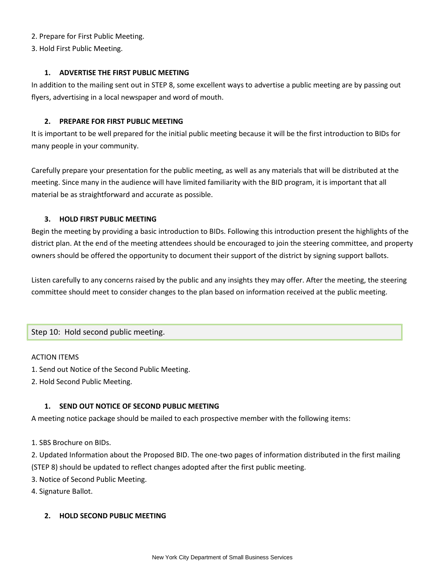#### 2. Prepare for First Public Meeting.

3. Hold First Public Meeting.

#### **1. ADVERTISE THE FIRST PUBLIC MEETING**

In addition to the mailing sent out in STEP 8, some excellent ways to advertise a public meeting are by passing out flyers, advertising in a local newspaper and word of mouth.

#### **2. PREPARE FOR FIRST PUBLIC MEETING**

It is important to be well prepared for the initial public meeting because it will be the first introduction to BIDs for many people in your community.

Carefully prepare your presentation for the public meeting, as well as any materials that will be distributed at the meeting. Since many in the audience will have limited familiarity with the BID program, it is important that all material be as straightforward and accurate as possible.

#### **3. HOLD FIRST PUBLIC MEETING**

Begin the meeting by providing a basic introduction to BIDs. Following this introduction present the highlights of the district plan. At the end of the meeting attendees should be encouraged to join the steering committee, and property owners should be offered the opportunity to document their support of the district by signing support ballots.

Listen carefully to any concerns raised by the public and any insights they may offer. After the meeting, the steering committee should meet to consider changes to the plan based on information received at the public meeting.

#### Step 10: Hold second public meeting.

#### ACTION ITEMS

- 1. Send out Notice of the Second Public Meeting.
- 2. Hold Second Public Meeting.

#### **1. SEND OUT NOTICE OF SECOND PUBLIC MEETING**

A meeting notice package should be mailed to each prospective member with the following items:

1. SBS Brochure on BIDs.

2. Updated Information about the Proposed BID. The one-two pages of information distributed in the first mailing

- (STEP 8) should be updated to reflect changes adopted after the first public meeting.
- 3. Notice of Second Public Meeting.
- 4. Signature Ballot.

#### **2. HOLD SECOND PUBLIC MEETING**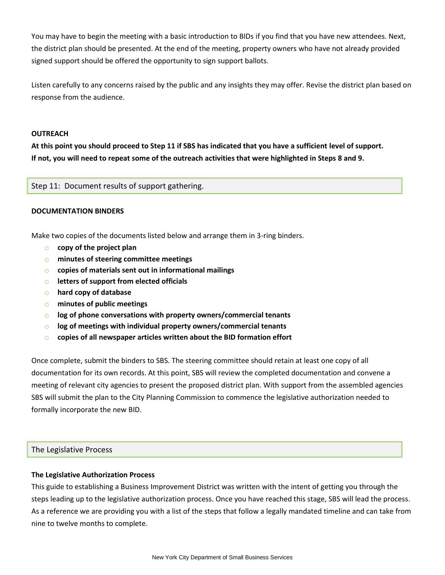You may have to begin the meeting with a basic introduction to BIDs if you find that you have new attendees. Next, the district plan should be presented. At the end of the meeting, property owners who have not already provided signed support should be offered the opportunity to sign support ballots.

Listen carefully to any concerns raised by the public and any insights they may offer. Revise the district plan based on response from the audience.

#### **OUTREACH**

**At this point you should proceed to Step 11 if SBS has indicated that you have a sufficient level of support. If not, you will need to repeat some of the outreach activities that were highlighted in Steps 8 and 9.**

Step 11: Document results of support gathering.

#### **DOCUMENTATION BINDERS**

Make two copies of the documents listed below and arrange them in 3-ring binders.

- o **copy of the project plan**
- o **minutes of steering committee meetings**
- o **copies of materials sent out in informational mailings**
- o **letters of support from elected officials**
- o **hard copy of database**
- o **minutes of public meetings**
- o **log of phone conversations with property owners/commercial tenants**
- o **log of meetings with individual property owners/commercial tenants**
- o **copies of all newspaper articles written about the BID formation effort**

Once complete, submit the binders to SBS. The steering committee should retain at least one copy of all documentation for its own records. At this point, SBS will review the completed documentation and convene a meeting of relevant city agencies to present the proposed district plan. With support from the assembled agencies SBS will submit the plan to the City Planning Commission to commence the legislative authorization needed to formally incorporate the new BID.

#### The Legislative Process

#### **The Legislative Authorization Process**

This guide to establishing a Business Improvement District was written with the intent of getting you through the steps leading up to the legislative authorization process. Once you have reached this stage, SBS will lead the process. As a reference we are providing you with a list of the steps that follow a legally mandated timeline and can take from nine to twelve months to complete.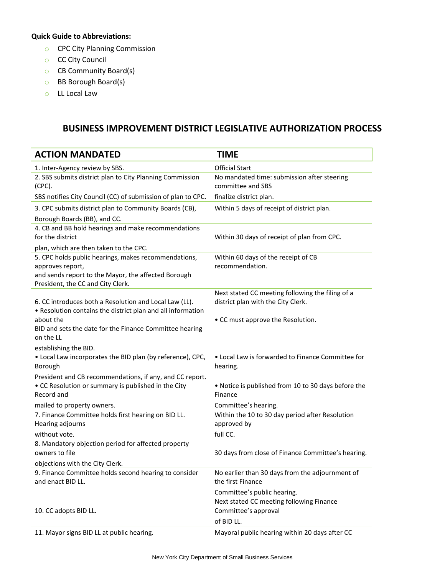#### **Quick Guide to Abbreviations:**

- o CPC City Planning Commission
- o CC City Council
- o CB Community Board(s)
- o BB Borough Board(s)
- o LL Local Law

### **BUSINESS IMPROVEMENT DISTRICT LEGISLATIVE AUTHORIZATION PROCESS**

| <b>ACTION MANDATED</b>                                                                                                | <b>TIME</b>                                                          |
|-----------------------------------------------------------------------------------------------------------------------|----------------------------------------------------------------------|
| 1. Inter-Agency review by SBS.                                                                                        | <b>Official Start</b>                                                |
| 2. SBS submits district plan to City Planning Commission<br>(CPC).                                                    | No mandated time: submission after steering<br>committee and SBS     |
| SBS notifies City Council (CC) of submission of plan to CPC.                                                          | finalize district plan.                                              |
| 3. CPC submits district plan to Community Boards (CB),                                                                | Within 5 days of receipt of district plan.                           |
| Borough Boards (BB), and CC.                                                                                          |                                                                      |
| 4. CB and BB hold hearings and make recommendations                                                                   |                                                                      |
| for the district                                                                                                      | Within 30 days of receipt of plan from CPC.                          |
| plan, which are then taken to the CPC.                                                                                |                                                                      |
| 5. CPC holds public hearings, makes recommendations,                                                                  | Within 60 days of the receipt of CB                                  |
| approves report,<br>and sends report to the Mayor, the affected Borough                                               | recommendation.                                                      |
| President, the CC and City Clerk.                                                                                     |                                                                      |
|                                                                                                                       | Next stated CC meeting following the filing of a                     |
| 6. CC introduces both a Resolution and Local Law (LL).<br>• Resolution contains the district plan and all information | district plan with the City Clerk.                                   |
| about the                                                                                                             | • CC must approve the Resolution.                                    |
| BID and sets the date for the Finance Committee hearing<br>on the LL                                                  |                                                                      |
| establishing the BID.                                                                                                 |                                                                      |
| . Local Law incorporates the BID plan (by reference), CPC,                                                            | • Local Law is forwarded to Finance Committee for                    |
| Borough                                                                                                               | hearing.                                                             |
| President and CB recommendations, if any, and CC report.                                                              |                                                                      |
| • CC Resolution or summary is published in the City<br>Record and                                                     | . Notice is published from 10 to 30 days before the<br>Finance       |
| mailed to property owners.                                                                                            | Committee's hearing.                                                 |
| 7. Finance Committee holds first hearing on BID LL.<br>Hearing adjourns                                               | Within the 10 to 30 day period after Resolution<br>approved by       |
| without vote.                                                                                                         | full CC.                                                             |
| 8. Mandatory objection period for affected property<br>owners to file                                                 | 30 days from close of Finance Committee's hearing.                   |
| objections with the City Clerk.                                                                                       |                                                                      |
| 9. Finance Committee holds second hearing to consider<br>and enact BID LL.                                            | No earlier than 30 days from the adjournment of<br>the first Finance |
|                                                                                                                       | Committee's public hearing.                                          |
|                                                                                                                       | Next stated CC meeting following Finance                             |
| 10. CC adopts BID LL.                                                                                                 | Committee's approval                                                 |
|                                                                                                                       | of BID LL.                                                           |
| 11. Mayor signs BID LL at public hearing.                                                                             | Mayoral public hearing within 20 days after CC                       |